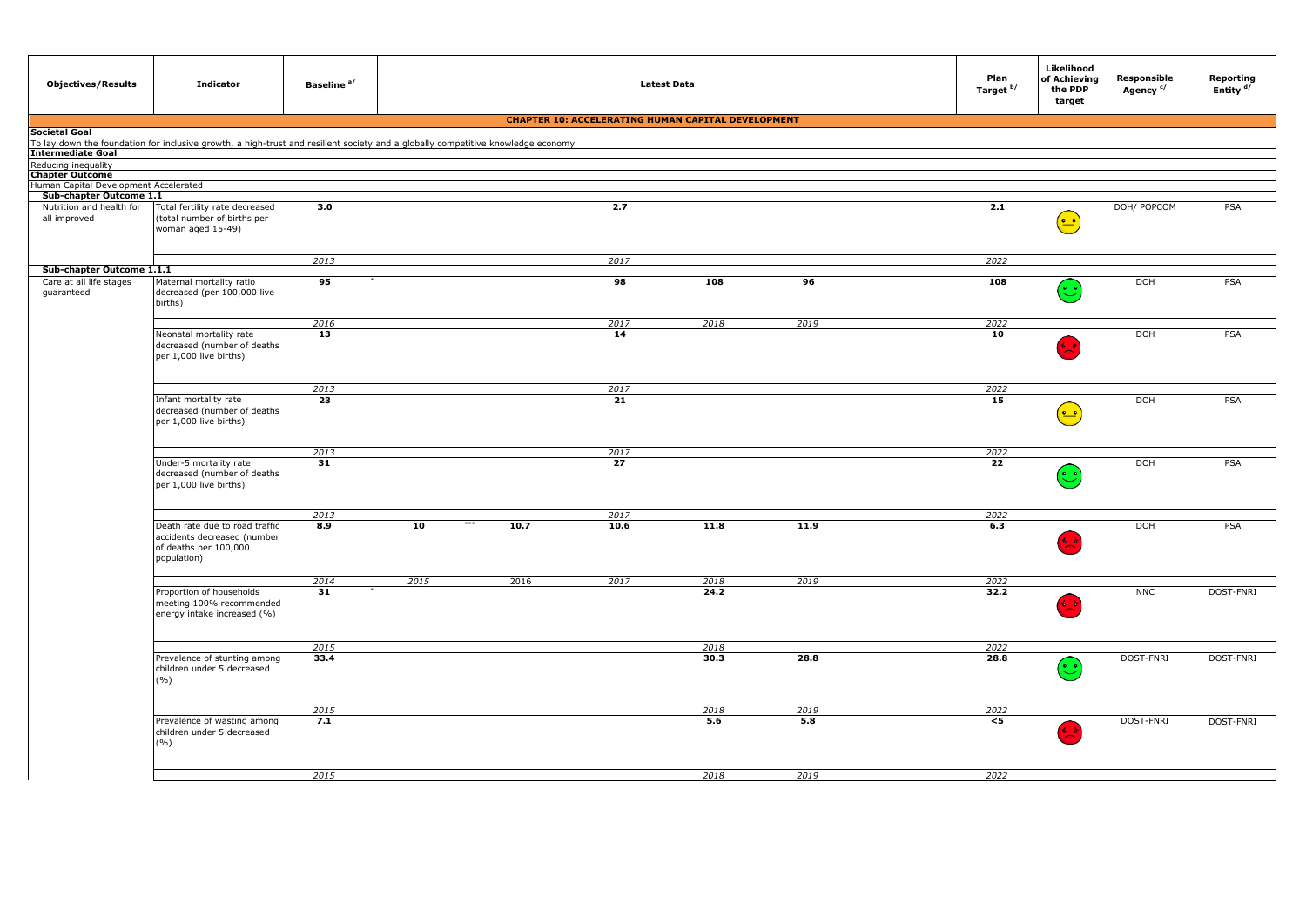| <b>Objectives/Results</b>                                        | <b>Indicator</b>                                                                                      | Baseline <sup>a/</sup> |      |                                                                                                                                                                                                                                                                                                                                                                                                                                                                                                                                                                                                                                                                                                                                                                                                                                                                                                                                          |  |  | Plan<br>Target <sup>b/</sup> | Likelihood<br>of Achieving<br>the PDP<br>target      | Responsible<br>Agency <sup>c/</sup> | Reporting<br>Entity <sup>d/</sup> |
|------------------------------------------------------------------|-------------------------------------------------------------------------------------------------------|------------------------|------|------------------------------------------------------------------------------------------------------------------------------------------------------------------------------------------------------------------------------------------------------------------------------------------------------------------------------------------------------------------------------------------------------------------------------------------------------------------------------------------------------------------------------------------------------------------------------------------------------------------------------------------------------------------------------------------------------------------------------------------------------------------------------------------------------------------------------------------------------------------------------------------------------------------------------------------|--|--|------------------------------|------------------------------------------------------|-------------------------------------|-----------------------------------|
|                                                                  |                                                                                                       |                        |      |                                                                                                                                                                                                                                                                                                                                                                                                                                                                                                                                                                                                                                                                                                                                                                                                                                                                                                                                          |  |  |                              |                                                      |                                     |                                   |
| Societal Goal                                                    |                                                                                                       |                        |      |                                                                                                                                                                                                                                                                                                                                                                                                                                                                                                                                                                                                                                                                                                                                                                                                                                                                                                                                          |  |  |                              |                                                      |                                     |                                   |
| Intermediate Goal                                                |                                                                                                       |                        |      |                                                                                                                                                                                                                                                                                                                                                                                                                                                                                                                                                                                                                                                                                                                                                                                                                                                                                                                                          |  |  |                              |                                                      |                                     |                                   |
| Reducing inequality                                              |                                                                                                       |                        |      |                                                                                                                                                                                                                                                                                                                                                                                                                                                                                                                                                                                                                                                                                                                                                                                                                                                                                                                                          |  |  |                              |                                                      |                                     |                                   |
| <b>Chapter Outcome</b>                                           |                                                                                                       |                        |      |                                                                                                                                                                                                                                                                                                                                                                                                                                                                                                                                                                                                                                                                                                                                                                                                                                                                                                                                          |  |  |                              |                                                      |                                     |                                   |
| Human Capital Development Accelerated<br>Sub-chapter Outcome 1.1 |                                                                                                       |                        |      |                                                                                                                                                                                                                                                                                                                                                                                                                                                                                                                                                                                                                                                                                                                                                                                                                                                                                                                                          |  |  |                              |                                                      |                                     |                                   |
| Nutrition and health for                                         | Total fertility rate decreased                                                                        | 3.0                    |      |                                                                                                                                                                                                                                                                                                                                                                                                                                                                                                                                                                                                                                                                                                                                                                                                                                                                                                                                          |  |  |                              |                                                      |                                     |                                   |
| all improved                                                     | (total number of births per<br>woman aged 15-49)                                                      |                        |      |                                                                                                                                                                                                                                                                                                                                                                                                                                                                                                                                                                                                                                                                                                                                                                                                                                                                                                                                          |  |  |                              | $(\textcolor{red}{\bullet}\textcolor{blue}{\bullet}$ |                                     |                                   |
|                                                                  |                                                                                                       | 2013                   |      |                                                                                                                                                                                                                                                                                                                                                                                                                                                                                                                                                                                                                                                                                                                                                                                                                                                                                                                                          |  |  |                              |                                                      |                                     |                                   |
| Sub-chapter Outcome 1.1.1                                        |                                                                                                       |                        |      |                                                                                                                                                                                                                                                                                                                                                                                                                                                                                                                                                                                                                                                                                                                                                                                                                                                                                                                                          |  |  |                              |                                                      |                                     |                                   |
| Care at all life stages<br>guaranteed                            | Maternal mortality ratio<br>decreased (per 100,000 live<br>births)                                    | 95                     |      | <b>Latest Data</b><br><b>CHAPTER 10: ACCELERATING HUMAN CAPITAL DEVELOPMENT</b><br>To lay down the foundation for inclusive growth, a high-trust and resilient society and a globally competitive knowledge economy<br>2.7<br>2.1<br>DOH/ POPCOM<br>PSA<br>2017<br>2022<br>108<br>98<br>96<br>108<br>DOH<br>PSA<br>$(\cdot)$<br>2018<br>2019<br>2022<br>2017<br>DOH<br>PSA<br>14<br>10<br>$\mathbf{L}$<br>2017<br>2022<br>21<br>DOH<br>15<br>PSA<br>$(\textcolor{red}{\bullet}\textcolor{blue}{\bullet}$<br>2017<br>2022<br>$\overline{27}$<br>$\overline{22}$<br>DOH<br>PSA<br>2022<br>2017<br>***<br>10.7<br>10.6<br>11.8<br>11.9<br>6.3<br>DOH<br>PSA<br>د ،<br>2016<br>2017<br>2018<br>2019<br>2022<br><b>NNC</b><br>DOST-FNRI<br>24.2<br>32.2<br>分录<br>2018<br>2022<br>28.8<br>DOST-FNRI<br>30.3<br>28.8<br>DOST-FNRI<br>$(\cdot)$<br>2018<br>2019<br>2022<br>5.6<br>5.8<br>DOST-FNRI<br>DOST-FNRI<br>$<$ 5<br>2018<br>2019<br>2022 |  |  |                              |                                                      |                                     |                                   |
|                                                                  |                                                                                                       | 2016                   |      |                                                                                                                                                                                                                                                                                                                                                                                                                                                                                                                                                                                                                                                                                                                                                                                                                                                                                                                                          |  |  |                              |                                                      |                                     |                                   |
|                                                                  | Neonatal mortality rate<br>decreased (number of deaths<br>per 1,000 live births)                      | 13                     |      |                                                                                                                                                                                                                                                                                                                                                                                                                                                                                                                                                                                                                                                                                                                                                                                                                                                                                                                                          |  |  |                              |                                                      |                                     |                                   |
|                                                                  |                                                                                                       | 2013                   |      |                                                                                                                                                                                                                                                                                                                                                                                                                                                                                                                                                                                                                                                                                                                                                                                                                                                                                                                                          |  |  |                              |                                                      |                                     |                                   |
|                                                                  | Infant mortality rate<br>decreased (number of deaths<br>per 1,000 live births)                        | 23                     |      |                                                                                                                                                                                                                                                                                                                                                                                                                                                                                                                                                                                                                                                                                                                                                                                                                                                                                                                                          |  |  |                              |                                                      |                                     |                                   |
|                                                                  |                                                                                                       | 2013                   |      |                                                                                                                                                                                                                                                                                                                                                                                                                                                                                                                                                                                                                                                                                                                                                                                                                                                                                                                                          |  |  |                              |                                                      |                                     |                                   |
|                                                                  | Under-5 mortality rate<br>decreased (number of deaths<br>per 1,000 live births)                       | 31                     |      |                                                                                                                                                                                                                                                                                                                                                                                                                                                                                                                                                                                                                                                                                                                                                                                                                                                                                                                                          |  |  |                              |                                                      |                                     |                                   |
|                                                                  |                                                                                                       | 2013                   |      |                                                                                                                                                                                                                                                                                                                                                                                                                                                                                                                                                                                                                                                                                                                                                                                                                                                                                                                                          |  |  |                              |                                                      |                                     |                                   |
|                                                                  | Death rate due to road traffic<br>accidents decreased (number<br>of deaths per 100,000<br>population) | 8.9                    | 10   |                                                                                                                                                                                                                                                                                                                                                                                                                                                                                                                                                                                                                                                                                                                                                                                                                                                                                                                                          |  |  |                              |                                                      |                                     |                                   |
|                                                                  |                                                                                                       | 2014                   | 2015 |                                                                                                                                                                                                                                                                                                                                                                                                                                                                                                                                                                                                                                                                                                                                                                                                                                                                                                                                          |  |  |                              |                                                      |                                     |                                   |
|                                                                  | Proportion of households<br>meeting 100% recommended<br>energy intake increased (%)                   | 31                     |      |                                                                                                                                                                                                                                                                                                                                                                                                                                                                                                                                                                                                                                                                                                                                                                                                                                                                                                                                          |  |  |                              |                                                      |                                     |                                   |
|                                                                  |                                                                                                       | 2015                   |      |                                                                                                                                                                                                                                                                                                                                                                                                                                                                                                                                                                                                                                                                                                                                                                                                                                                                                                                                          |  |  |                              |                                                      |                                     |                                   |
|                                                                  | Prevalence of stunting among<br>children under 5 decreased<br>(%)                                     | 33.4                   |      |                                                                                                                                                                                                                                                                                                                                                                                                                                                                                                                                                                                                                                                                                                                                                                                                                                                                                                                                          |  |  |                              |                                                      |                                     |                                   |
|                                                                  |                                                                                                       | 2015                   |      |                                                                                                                                                                                                                                                                                                                                                                                                                                                                                                                                                                                                                                                                                                                                                                                                                                                                                                                                          |  |  |                              |                                                      |                                     |                                   |
|                                                                  | Prevalence of wasting among<br>children under 5 decreased<br>$(\%)$                                   | 7.1                    |      |                                                                                                                                                                                                                                                                                                                                                                                                                                                                                                                                                                                                                                                                                                                                                                                                                                                                                                                                          |  |  |                              |                                                      |                                     |                                   |
|                                                                  |                                                                                                       | 2015                   |      |                                                                                                                                                                                                                                                                                                                                                                                                                                                                                                                                                                                                                                                                                                                                                                                                                                                                                                                                          |  |  |                              |                                                      |                                     |                                   |
|                                                                  |                                                                                                       |                        |      |                                                                                                                                                                                                                                                                                                                                                                                                                                                                                                                                                                                                                                                                                                                                                                                                                                                                                                                                          |  |  |                              |                                                      |                                     |                                   |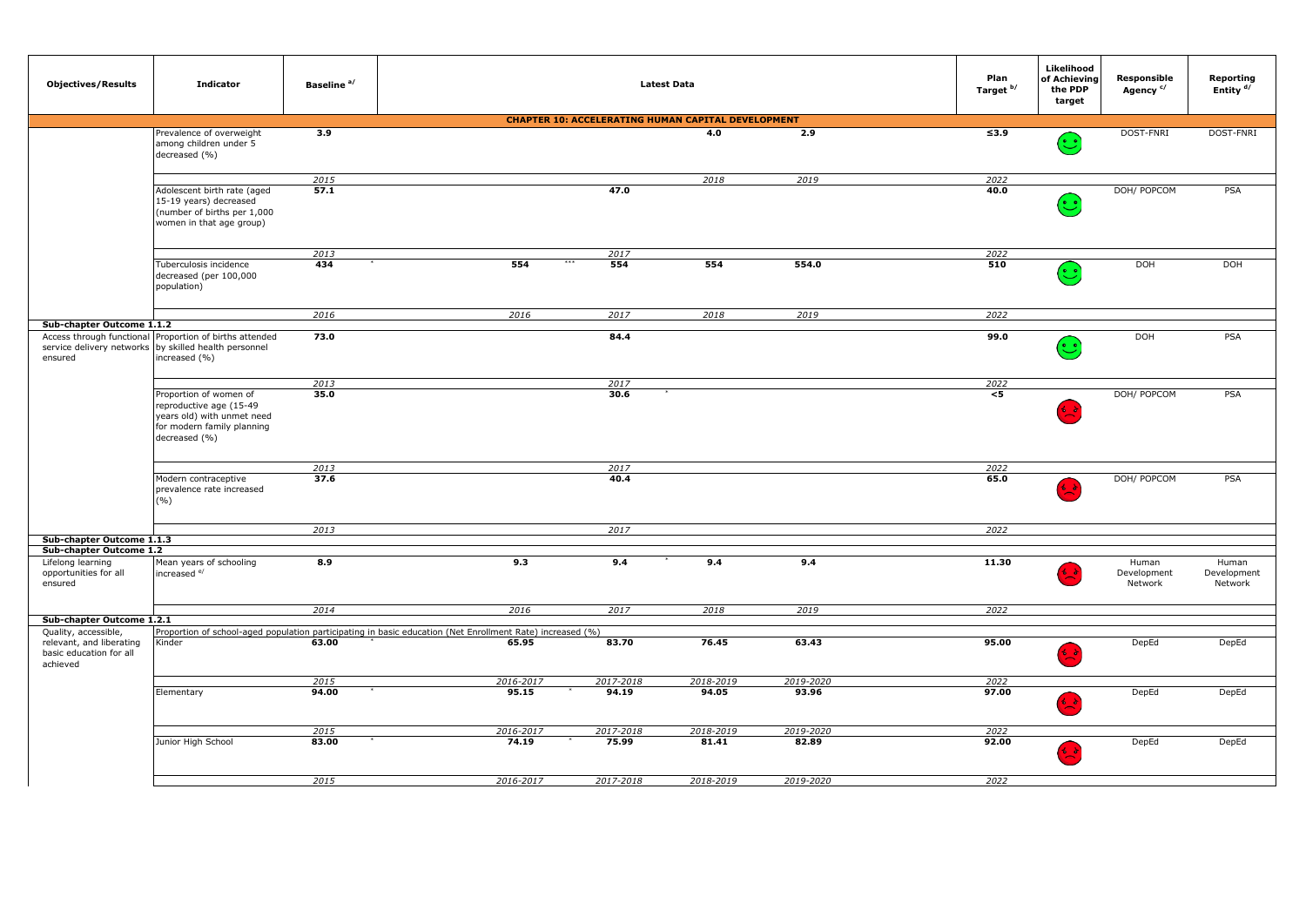| <b>Objectives/Results</b>                                                               | <b>Indicator</b>                                                                                                               | Baseline <sup>a/</sup> |                                                                                                                    |                                                           | <b>Latest Data</b> |           | Plan<br>Target b/    | Likelihood<br>of Achieving<br>the PDP<br>target                                                                                                                                                                                                                  | Responsible<br>Agency <sup>c/</sup> | Reporting<br>Entity <sup>d/</sup> |
|-----------------------------------------------------------------------------------------|--------------------------------------------------------------------------------------------------------------------------------|------------------------|--------------------------------------------------------------------------------------------------------------------|-----------------------------------------------------------|--------------------|-----------|----------------------|------------------------------------------------------------------------------------------------------------------------------------------------------------------------------------------------------------------------------------------------------------------|-------------------------------------|-----------------------------------|
|                                                                                         |                                                                                                                                |                        |                                                                                                                    | <b>CHAPTER 10: ACCELERATING HUMAN CAPITAL DEVELOPMENT</b> |                    |           |                      |                                                                                                                                                                                                                                                                  |                                     |                                   |
|                                                                                         | Prevalence of overweight<br>among children under 5<br>decreased (%)                                                            | 3.9                    |                                                                                                                    |                                                           | 4.0                | 2.9       | $\overline{\leq}3.9$ | ಀ                                                                                                                                                                                                                                                                | DOST-FNRI                           | DOST-FNRI                         |
|                                                                                         |                                                                                                                                | 2015                   |                                                                                                                    |                                                           | 2018               | 2019      | 2022                 |                                                                                                                                                                                                                                                                  |                                     |                                   |
|                                                                                         | Adolescent birth rate (aged<br>15-19 years) decreased<br>(number of births per 1,000<br>women in that age group)               | 57.1                   |                                                                                                                    | 47.0                                                      |                    |           | 40.0                 | $(\ddot{\mathbb{C}}% ,\dagger ,\frac{\partial }{\partial \mathbb{C}}% ,\dagger ,\frac{\partial }{\partial \mathbb{C}}% ,\dagger ,\frac{\partial }{\partial \mathbb{C}}% ,\mathbb{C}}% ,\mathbb{C}}% ,\mathbb{C}}% ,\mathbb{C}}% ,\mathbb{C}}% ,\mathbb{C}}angle$ | DOH/ POPCOM                         | PSA                               |
|                                                                                         |                                                                                                                                | 2013                   |                                                                                                                    | 2017                                                      |                    |           | 2022                 |                                                                                                                                                                                                                                                                  |                                     |                                   |
|                                                                                         | Tuberculosis incidence<br>decreased (per 100,000<br>population)                                                                | 434                    | 554                                                                                                                | 554                                                       | 554                | 554.0     | 510                  | $\ddot{\cdot}$                                                                                                                                                                                                                                                   | <b>DOH</b>                          | <b>DOH</b>                        |
|                                                                                         |                                                                                                                                | 2016                   | 2016                                                                                                               | 2017                                                      | 2018               | 2019      | 2022                 |                                                                                                                                                                                                                                                                  |                                     |                                   |
| Sub-chapter Outcome 1.1.2                                                               |                                                                                                                                |                        |                                                                                                                    |                                                           |                    |           |                      |                                                                                                                                                                                                                                                                  |                                     |                                   |
| service delivery networks<br>ensured                                                    | Access through functional Proportion of births attended<br>by skilled health personnel<br>increased (%)                        | 73.0                   |                                                                                                                    | 84.4                                                      |                    |           | 99.0                 | $(\ddot{\mathbin{\smash\cdot}})$                                                                                                                                                                                                                                 | DOH                                 | PSA                               |
|                                                                                         |                                                                                                                                | 2013                   |                                                                                                                    | 2017                                                      |                    |           | 2022                 |                                                                                                                                                                                                                                                                  |                                     |                                   |
|                                                                                         | Proportion of women of<br>reproductive age (15-49<br>years old) with unmet need<br>for modern family planning<br>decreased (%) | 35.0                   |                                                                                                                    | 30.6                                                      |                    |           | $<$ 5                |                                                                                                                                                                                                                                                                  | DOH/ POPCOM                         | PSA                               |
|                                                                                         |                                                                                                                                | 2013                   |                                                                                                                    | 2017                                                      |                    |           | 2022                 |                                                                                                                                                                                                                                                                  |                                     |                                   |
|                                                                                         | Modern contraceptive<br>prevalence rate increased<br>(%)                                                                       | 37.6                   |                                                                                                                    | 40.4                                                      |                    |           | 65.0                 |                                                                                                                                                                                                                                                                  | DOH/ POPCOM                         | PSA                               |
|                                                                                         |                                                                                                                                | 2013                   |                                                                                                                    | 2017                                                      |                    |           | 2022                 |                                                                                                                                                                                                                                                                  |                                     |                                   |
| Sub-chapter Outcome 1.1.3                                                               |                                                                                                                                |                        |                                                                                                                    |                                                           |                    |           |                      |                                                                                                                                                                                                                                                                  |                                     |                                   |
| Sub-chapter Outcome 1.2                                                                 |                                                                                                                                |                        |                                                                                                                    |                                                           |                    |           |                      |                                                                                                                                                                                                                                                                  |                                     |                                   |
| Lifelong learning<br>opportunities for all<br>ensured                                   | Mean years of schooling<br>increased e/                                                                                        | 8.9                    | 9.3                                                                                                                | 9.4                                                       | 9.4                | 9.4       | 11.30                |                                                                                                                                                                                                                                                                  | Human<br>Development<br>Network     | Human<br>Development<br>Network   |
|                                                                                         |                                                                                                                                | 2014                   | 2016                                                                                                               | 2017                                                      | 2018               | 2019      | 2022                 |                                                                                                                                                                                                                                                                  |                                     |                                   |
| Sub-chapter Outcome 1.2.1                                                               |                                                                                                                                |                        |                                                                                                                    |                                                           |                    |           |                      |                                                                                                                                                                                                                                                                  |                                     |                                   |
| Quality, accessible,<br>relevant, and liberating<br>basic education for all<br>achieved | Kinder                                                                                                                         | 63.00                  | Proportion of school-aged population participating in basic education (Net Enrollment Rate) increased (%)<br>65.95 | 83.70                                                     | 76.45              | 63.43     | 95.00                |                                                                                                                                                                                                                                                                  | DepEd                               | DepEd                             |
|                                                                                         |                                                                                                                                | 2015                   | 2016-2017                                                                                                          | 2017-2018                                                 | 2018-2019          | 2019-2020 | 2022                 |                                                                                                                                                                                                                                                                  |                                     |                                   |
|                                                                                         | Elementary                                                                                                                     | 94.00                  | 95.15                                                                                                              | 94.19                                                     | 94.05              | 93.96     | 97.00                |                                                                                                                                                                                                                                                                  | DepEd                               | DepEd                             |
|                                                                                         |                                                                                                                                | 2015                   | 2016-2017                                                                                                          | 2017-2018                                                 | 2018-2019          | 2019-2020 | 2022                 |                                                                                                                                                                                                                                                                  |                                     |                                   |
|                                                                                         | Junior High School                                                                                                             | 83.00                  | 74.19                                                                                                              | 75.99                                                     | 81.41              | 82.89     | 92.00                |                                                                                                                                                                                                                                                                  | DepEd                               | DepEd                             |
|                                                                                         |                                                                                                                                | 2015                   | 2016-2017                                                                                                          | 2017-2018                                                 | 2018-2019          | 2019-2020 | 2022                 |                                                                                                                                                                                                                                                                  |                                     |                                   |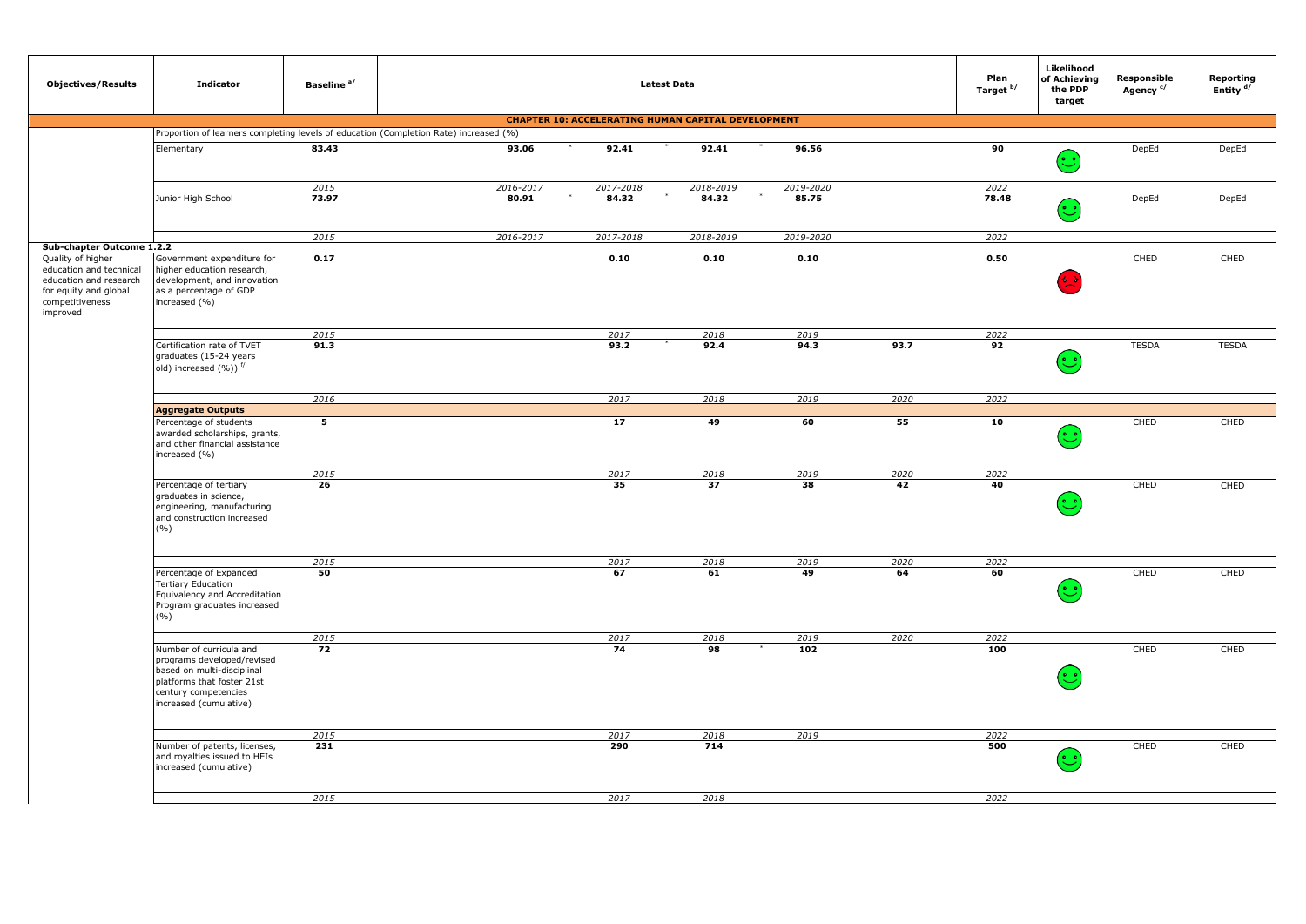| <b>Objectives/Results</b>                                                                                                      | <b>Indicator</b>                                                                                                                                                    | Baseline <sup>a/</sup> |                                                                                       |                                                           | <b>Latest Data</b> |              |      | Plan<br>Target b/ | Likelihood<br>of Achieving<br>the PDP<br>target                       | Responsible<br>Agency <sup>c/</sup> | Reporting<br>Entity <sup>d/</sup> |
|--------------------------------------------------------------------------------------------------------------------------------|---------------------------------------------------------------------------------------------------------------------------------------------------------------------|------------------------|---------------------------------------------------------------------------------------|-----------------------------------------------------------|--------------------|--------------|------|-------------------|-----------------------------------------------------------------------|-------------------------------------|-----------------------------------|
|                                                                                                                                |                                                                                                                                                                     |                        |                                                                                       | <b>CHAPTER 10: ACCELERATING HUMAN CAPITAL DEVELOPMENT</b> |                    |              |      |                   |                                                                       |                                     |                                   |
|                                                                                                                                |                                                                                                                                                                     |                        | Proportion of learners completing levels of education (Completion Rate) increased (%) |                                                           |                    |              |      |                   |                                                                       |                                     |                                   |
|                                                                                                                                | Elementary                                                                                                                                                          | 83.43                  | 93.06                                                                                 | 92.41                                                     | 92.41              | 96.56        |      | 90                | $(\odot)$                                                             | DepEd                               | DepEd                             |
|                                                                                                                                |                                                                                                                                                                     | 2015                   | 2016-2017                                                                             | 2017-2018                                                 | 2018-2019          | 2019-2020    |      | 2022              |                                                                       |                                     |                                   |
|                                                                                                                                | Junior High School                                                                                                                                                  | 73.97                  | 80.91                                                                                 | 84.32                                                     | 84.32              | 85.75        |      | 78.48             | $\left(\begin{smallmatrix}\bullet\end{smallmatrix}\right)$            | DepEd                               | DepEd                             |
| Sub-chapter Outcome 1.2.2                                                                                                      |                                                                                                                                                                     | 2015                   | 2016-2017                                                                             | 2017-2018                                                 | 2018-2019          | 2019-2020    |      | 2022              |                                                                       |                                     |                                   |
| Quality of higher<br>education and technical<br>education and research<br>for equity and global<br>competitiveness<br>improved | Government expenditure for<br>higher education research,<br>development, and innovation<br>as a percentage of GDP<br>increased (%)                                  | 0.17                   |                                                                                       | 0.10                                                      | 0.10               | 0.10         |      | 0.50              | 分支                                                                    | CHED                                | CHED                              |
|                                                                                                                                |                                                                                                                                                                     |                        |                                                                                       |                                                           |                    |              |      |                   |                                                                       |                                     |                                   |
|                                                                                                                                | Certification rate of TVET                                                                                                                                          | 2015<br>91.3           |                                                                                       | 2017<br>93.2                                              | 2018<br>92.4       | 2019<br>94.3 | 93.7 | 2022<br>92        |                                                                       | <b>TESDA</b>                        | <b>TESDA</b>                      |
|                                                                                                                                | graduates (15-24 years<br>old) increased $(\%)$ ) $\frac{f}{f}$                                                                                                     |                        |                                                                                       |                                                           |                    |              |      |                   | $(\ddot{\mathbin{\raisebox{1.5pt}{.}}\mathbin{\raisebox{1.5pt}{.}}})$ |                                     |                                   |
|                                                                                                                                |                                                                                                                                                                     | 2016                   |                                                                                       | 2017                                                      | 2018               | 2019         | 2020 | 2022              |                                                                       |                                     |                                   |
|                                                                                                                                | <b>Aggregate Outputs</b>                                                                                                                                            |                        |                                                                                       |                                                           |                    |              |      |                   |                                                                       |                                     |                                   |
|                                                                                                                                | Percentage of students<br>awarded scholarships, grants,<br>and other financial assistance<br>increased (%)                                                          | 5                      |                                                                                       | 17                                                        | 49                 | 60           | 55   | 10                | $\left(\begin{smallmatrix}\bullet\end{smallmatrix}\right)$            | CHED                                | CHED                              |
|                                                                                                                                |                                                                                                                                                                     | 2015                   |                                                                                       | 2017                                                      | 2018               | 2019         | 2020 | 2022              |                                                                       |                                     |                                   |
|                                                                                                                                | Percentage of tertiary<br>graduates in science,<br>engineering, manufacturing<br>and construction increased<br>(%)                                                  | 26                     |                                                                                       | 35                                                        | 37                 | 38           | 42   | 40                | $(\cdot)$                                                             | CHED                                | CHED                              |
|                                                                                                                                |                                                                                                                                                                     | 2015                   |                                                                                       | 2017                                                      | 2018               | 2019         | 2020 | 2022              |                                                                       |                                     |                                   |
|                                                                                                                                | Percentage of Expanded<br><b>Tertiary Education</b><br>Equivalency and Accreditation<br>Program graduates increased<br>(%)                                          | 50                     |                                                                                       | 67                                                        | 61                 | 49           | 64   | 60                | ဴ                                                                     | CHED                                | CHED                              |
|                                                                                                                                |                                                                                                                                                                     | 2015                   |                                                                                       | 2017                                                      | 2018               | 2019         | 2020 | 2022              |                                                                       |                                     |                                   |
|                                                                                                                                | Number of curricula and<br>programs developed/revised<br>based on multi-disciplinal<br>platforms that foster 21st<br>century competencies<br>increased (cumulative) | $\overline{72}$        |                                                                                       | 74                                                        | 98                 | 102          |      | 100               | ಲ                                                                     | CHED                                | CHED                              |
|                                                                                                                                |                                                                                                                                                                     | 2015                   |                                                                                       | 2017                                                      | 2018               | 2019         |      | 2022              |                                                                       |                                     |                                   |
|                                                                                                                                | Number of patents, licenses,<br>and royalties issued to HEIs<br>increased (cumulative)                                                                              | 231                    |                                                                                       | 290                                                       | 714                |              |      | 500               | $(\ddot{\mathbin{\odot}}$                                             | CHED                                | CHED                              |
|                                                                                                                                |                                                                                                                                                                     | 2015                   |                                                                                       | 2017                                                      | 2018               |              |      | 2022              |                                                                       |                                     |                                   |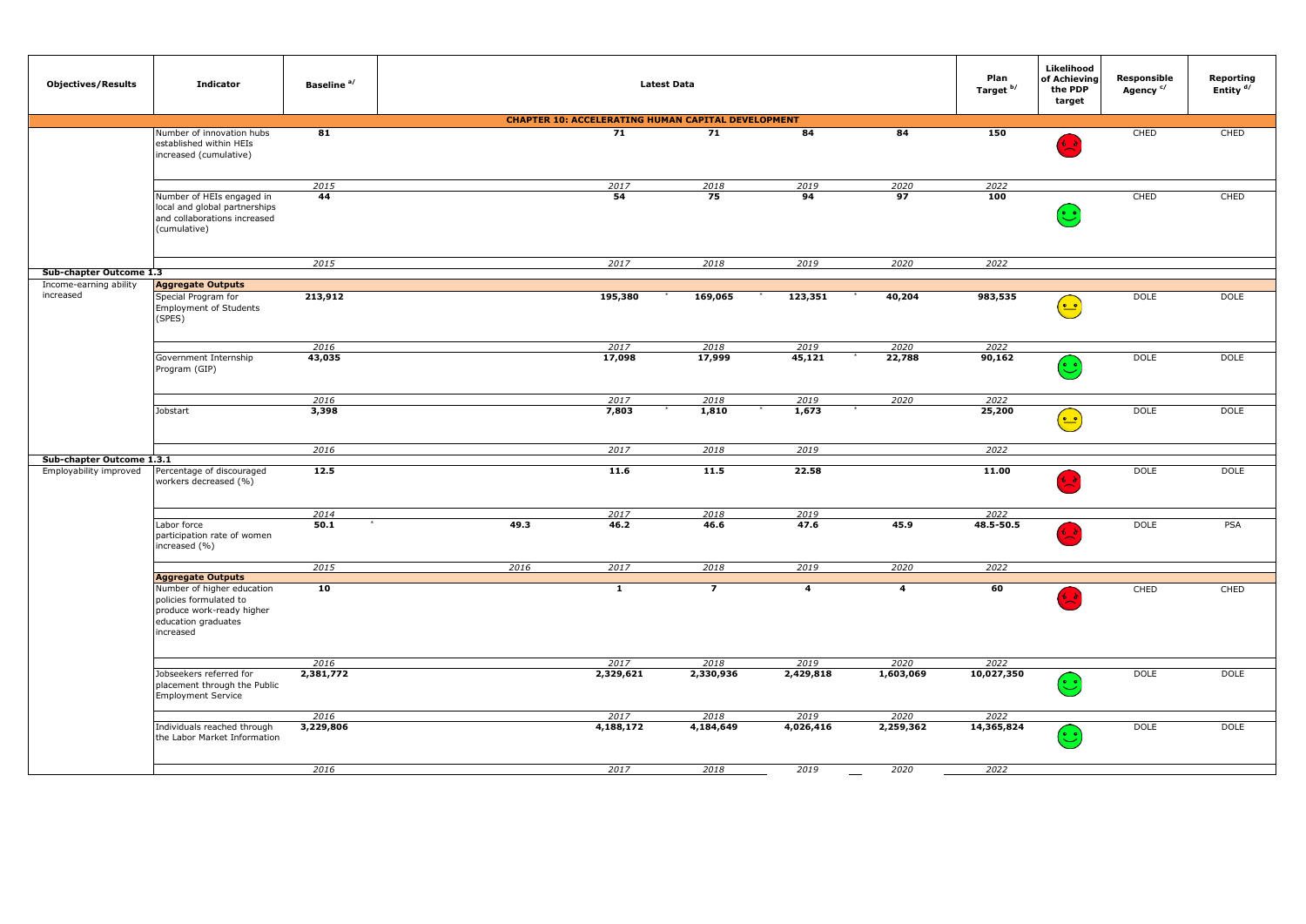| <b>Objectives/Results</b>                           | <b>Indicator</b>                                                                                                      | Baseline <sup>a/</sup> |      |                                                           | <b>Latest Data</b> |              |                | Plan<br>Target b/ | Likelihood<br>of Achieving<br>the PDP<br>target                                     | Responsible<br>Agency <sup>c/</sup> | Reporting<br>Entity <sup>d/</sup> |
|-----------------------------------------------------|-----------------------------------------------------------------------------------------------------------------------|------------------------|------|-----------------------------------------------------------|--------------------|--------------|----------------|-------------------|-------------------------------------------------------------------------------------|-------------------------------------|-----------------------------------|
|                                                     |                                                                                                                       |                        |      | <b>CHAPTER 10: ACCELERATING HUMAN CAPITAL DEVELOPMENT</b> |                    |              |                |                   |                                                                                     |                                     |                                   |
|                                                     | Number of innovation hubs<br>established within HEIs<br>increased (cumulative)                                        | 81                     |      | 71                                                        | 71                 | 84           | 84             | 150               | 纪录                                                                                  | CHED                                | CHED                              |
|                                                     |                                                                                                                       | 2015                   |      | 2017                                                      | 2018               | 2019         | 2020           | 2022              |                                                                                     |                                     |                                   |
|                                                     | Number of HEIs engaged in<br>local and global partnerships<br>and collaborations increased<br>(cumulative)            | 44                     |      | 54                                                        | 75                 | 94           | 97             | 100               | $(\ddot{\mathbin{\odot}}$                                                           | CHED                                | CHED                              |
|                                                     |                                                                                                                       | 2015                   |      | 2017                                                      | 2018               | 2019         | 2020           | 2022              |                                                                                     |                                     |                                   |
| Sub-chapter Outcome 1.3                             |                                                                                                                       |                        |      |                                                           |                    |              |                |                   |                                                                                     |                                     |                                   |
| Income-earning ability<br>increased                 | <b>Aggregate Outputs</b><br>Special Program for<br><b>Employment of Students</b><br>(SPES)                            | 213,912                |      | 195,380                                                   | 169,065            | 123,351      | 40,204         | 983,535           | $(\textcolor{red}{\bullet}\textcolor{blue}{\bullet}$                                | <b>DOLE</b>                         | <b>DOLE</b>                       |
|                                                     |                                                                                                                       | 2016                   |      | 2017                                                      | 2018               | 2019         | 2020           | 2022              |                                                                                     |                                     |                                   |
|                                                     | Government Internship<br>Program (GIP)                                                                                | 43,035                 |      | 17,098                                                    | 17,999             | 45,121       | 22,788         | 90,162            | $(\ddot{\mathbin{\smash\cdot}})$                                                    | <b>DOLE</b>                         | <b>DOLE</b>                       |
|                                                     |                                                                                                                       | 2016                   |      | 2017                                                      | 2018               | 2019         | 2020           | 2022              |                                                                                     |                                     |                                   |
|                                                     | Jobstart                                                                                                              | 3,398                  |      | 7,803                                                     | 1,810              | 1,673        |                | 25,200            | $(\stackrel{\scriptscriptstyle\bullet}{=}\stackrel{\scriptscriptstyle\bullet}{=}\,$ | <b>DOLE</b>                         | <b>DOLE</b>                       |
|                                                     |                                                                                                                       | 2016                   |      | 2017                                                      | 2018               | 2019         |                | 2022              |                                                                                     |                                     |                                   |
| Sub-chapter Outcome 1.3.1<br>Employability improved | Percentage of discouraged<br>workers decreased (%)                                                                    | 12.5                   |      | 11.6                                                      | 11.5               | 22.58        |                | 11.00             |                                                                                     | <b>DOLE</b>                         | <b>DOLE</b>                       |
|                                                     |                                                                                                                       |                        |      |                                                           |                    |              |                |                   |                                                                                     |                                     |                                   |
|                                                     | Labor force<br>participation rate of women<br>increased (%)                                                           | 2014<br>50.1           | 49.3 | 2017<br>46.2                                              | 2018<br>46.6       | 2019<br>47.6 | 45.9           | 2022<br>48.5-50.5 | ረሪ                                                                                  | <b>DOLE</b>                         | PSA                               |
|                                                     |                                                                                                                       | 2015                   | 2016 | 2017                                                      | 2018               | 2019         | 2020           | 2022              |                                                                                     |                                     |                                   |
|                                                     | <b>Aggregate Outputs</b>                                                                                              |                        |      |                                                           |                    |              |                |                   |                                                                                     |                                     |                                   |
|                                                     | Number of higher education<br>policies formulated to<br>produce work-ready higher<br>education graduates<br>increased | 10                     |      | $\overline{1}$                                            | $\overline{7}$     | 4            | $\overline{a}$ | 60                | 省音                                                                                  | CHED                                | CHED                              |
|                                                     |                                                                                                                       |                        |      | 2017                                                      |                    | 2019         | 2020           | 2022              |                                                                                     |                                     |                                   |
|                                                     | Jobseekers referred for<br>placement through the Public<br><b>Employment Service</b>                                  | 2016<br>2,381,772      |      | 2,329,621                                                 | 2018<br>2,330,936  | 2,429,818    | 1,603,069      | 10,027,350        | $(\cdot)$                                                                           | <b>DOLE</b>                         | <b>DOLE</b>                       |
|                                                     |                                                                                                                       | 2016                   |      | 2017                                                      | 2018               | 2019         | 2020           | 2022              |                                                                                     |                                     |                                   |
|                                                     | Individuals reached through<br>the Labor Market Information                                                           | 3,229,806              |      | 4,188,172                                                 | 4,184,649          | 4,026,416    | 2,259,362      | 14,365,824        | $(\ddot{\mathbin{\smash\cdot}})$                                                    | <b>DOLE</b>                         | <b>DOLE</b>                       |
|                                                     |                                                                                                                       | 2016                   |      | 2017                                                      | 2018               | 2019         | 2020           | 2022              |                                                                                     |                                     |                                   |